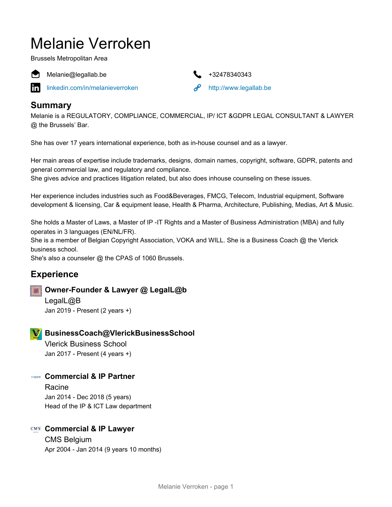# Melanie Verroken

Brussels Metropolitan Area



Melanie@legallab.be +32478340343

[linkedin.com/in/melanieverroken](https://www.linkedin.com/in/melanieverroken)  $\partial$  <http://www.legallab.be>



# **Summary**

Melanie is a REGULATORY, COMPLIANCE, COMMERCIAL, IP/ ICT &GDPR LEGAL CONSULTANT & LAWYER @ the Brussels' Bar.

She has over 17 years international experience, both as in-house counsel and as a lawyer.

Her main areas of expertise include trademarks, designs, domain names, copyright, software, GDPR, patents and general commercial law, and regulatory and compliance.

She gives advice and practices litigation related, but also does inhouse counseling on these issues.

Her experience includes industries such as Food&Beverages, FMCG, Telecom, Industrial equipment, Software development & licensing, Car & equipment lease, Health & Pharma, Architecture, Publishing, Medias, Art & Music.

She holds a Master of Laws, a Master of IP -IT Rights and a Master of Business Administration (MBA) and fully operates in 3 languages (EN/NL/FR).

She is a member of Belgian Copyright Association, VOKA and WILL. She is a Business Coach @ the Vlerick business school.

She's also a counseler @ the CPAS of 1060 Brussels.

# **Experience**

## **Owner-Founder & Lawyer @ LegalL@b**

LegalL@B Jan 2019 - Present (2 years +)

## **BusinessCoach@VlerickBusinessSchool**

Vlerick Business School Jan 2017 - Present (4 years +)

## **Commercial & IP Partner**

Racine Jan 2014 - Dec 2018 (5 years) Head of the IP & ICT Law department

## **Commercial & IP Lawyer**

CMS Belgium Apr 2004 - Jan 2014 (9 years 10 months)